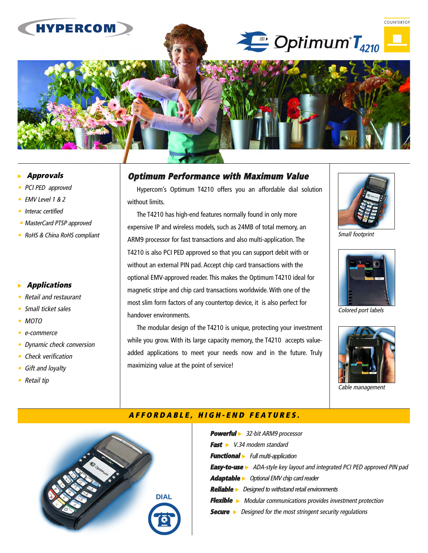# **HYPERCOM**

Frutiger 95 Ultra Black

# $\stackrel{\bullet}{\longrightarrow}$  Optimum  $\mathsf{T}_{4210}$  –



- •PCI PED approved
- •EMV Level 1 & 2
- •Interac certified
- MasterCard PTSP approved
- RoHS & China RoHS compliant

# **Applications**

- •Retail and restaurant
- •Small ticket sales
- MOTO
- •e-commerce
- •Dynamic check conversion
- Check verification
- •Gift and loyalty
- Retail tip

# **Optimum Performance with Maximum Value**

Hypercom's Optimum T4210 offers you an affordable dial solution without limits.

The T4210 has high-end features normally found in only more expensive IP and wireless models, such as 24MB of total memory, an ARM9 processor for fast transactions and also multi-application. The T4210 is also PCI PED approved so that you can support debit with or without an external PIN pad. Accept chip card transactions with the optional EMV-approved reader. This makes the Optimum T4210 ideal for magnetic stripe and chip card transactions worldwide. With one of the most slim form factors of any countertop device, it is also perfect for handover environments.

The modular design of the T4210 is unique, protecting your investment while you grow. With its large capacity memory, the T4210 accepts valueadded applications to meet your needs now and in the future. Truly maximizing value at the point of service!



**COUNTERTOP** 

Small footprint



Colored port labels



Cable management



# **AFFORDABLE, HIGH-END FEATURES.**

| <b>Powerful</b> > 32-bit ARM9 processor                                           |
|-----------------------------------------------------------------------------------|
| <b>Fast</b> $\triangleright$ V.34 modem standard                                  |
| <b>Functional</b> Full multi-application                                          |
| <b>Easy-to-use</b> > ADA-style key layout and integrated PCI PED approved PIN pad |
| <b>Adaptable</b> > Optional EMV chip card reader                                  |
| <b>Reliable</b> > Designed to withstand retail environments                       |
| <b>Flexible</b> > Modular communications provides investment protection           |
| Designed for the most stringent security regulations<br>$Secure \rightarrow$      |
|                                                                                   |